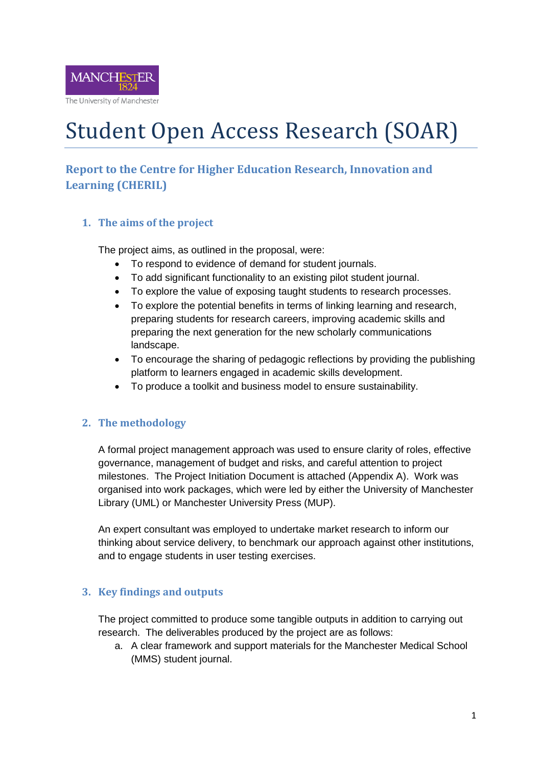

# Student Open Access Research (SOAR)

## **Report to the Centre for Higher Education Research, Innovation and Learning (CHERIL)**

## **1. The aims of the project**

The project aims, as outlined in the proposal, were:

- To respond to evidence of demand for student journals.
- To add significant functionality to an existing pilot student journal.
- To explore the value of exposing taught students to research processes.
- To explore the potential benefits in terms of linking learning and research, preparing students for research careers, improving academic skills and preparing the next generation for the new scholarly communications landscape.
- To encourage the sharing of pedagogic reflections by providing the publishing platform to learners engaged in academic skills development.
- To produce a toolkit and business model to ensure sustainability.

## **2. The methodology**

A formal project management approach was used to ensure clarity of roles, effective governance, management of budget and risks, and careful attention to project milestones. The Project Initiation Document is attached (Appendix A). Work was organised into work packages, which were led by either the University of Manchester Library (UML) or Manchester University Press (MUP).

An expert consultant was employed to undertake market research to inform our thinking about service delivery, to benchmark our approach against other institutions, and to engage students in user testing exercises.

## **3. Key findings and outputs**

The project committed to produce some tangible outputs in addition to carrying out research. The deliverables produced by the project are as follows:

a. A clear framework and support materials for the Manchester Medical School (MMS) student journal.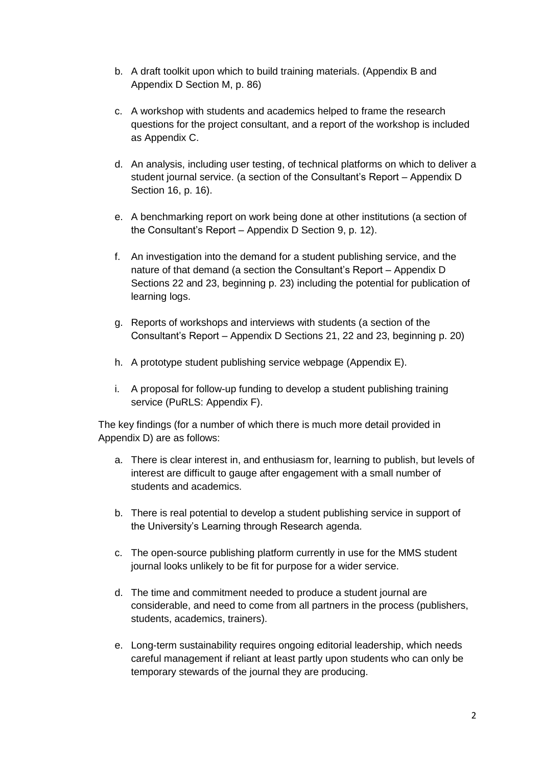- b. A draft toolkit upon which to build training materials. (Appendix B and Appendix D Section M, p. 86)
- c. A workshop with students and academics helped to frame the research questions for the project consultant, and a report of the workshop is included as Appendix C.
- d. An analysis, including user testing, of technical platforms on which to deliver a student journal service. (a section of the Consultant's Report – Appendix D Section 16, p. 16).
- e. A benchmarking report on work being done at other institutions (a section of the Consultant's Report – Appendix D Section 9, p. 12).
- f. An investigation into the demand for a student publishing service, and the nature of that demand (a section the Consultant's Report – Appendix D Sections 22 and 23, beginning p. 23) including the potential for publication of learning logs.
- g. Reports of workshops and interviews with students (a section of the Consultant's Report – Appendix D Sections 21, 22 and 23, beginning p. 20)
- h. A prototype student publishing service webpage (Appendix E).
- i. A proposal for follow-up funding to develop a student publishing training service (PuRLS: Appendix F).

The key findings (for a number of which there is much more detail provided in Appendix D) are as follows:

- a. There is clear interest in, and enthusiasm for, learning to publish, but levels of interest are difficult to gauge after engagement with a small number of students and academics.
- b. There is real potential to develop a student publishing service in support of the University's Learning through Research agenda.
- c. The open-source publishing platform currently in use for the MMS student journal looks unlikely to be fit for purpose for a wider service.
- d. The time and commitment needed to produce a student journal are considerable, and need to come from all partners in the process (publishers, students, academics, trainers).
- e. Long-term sustainability requires ongoing editorial leadership, which needs careful management if reliant at least partly upon students who can only be temporary stewards of the journal they are producing.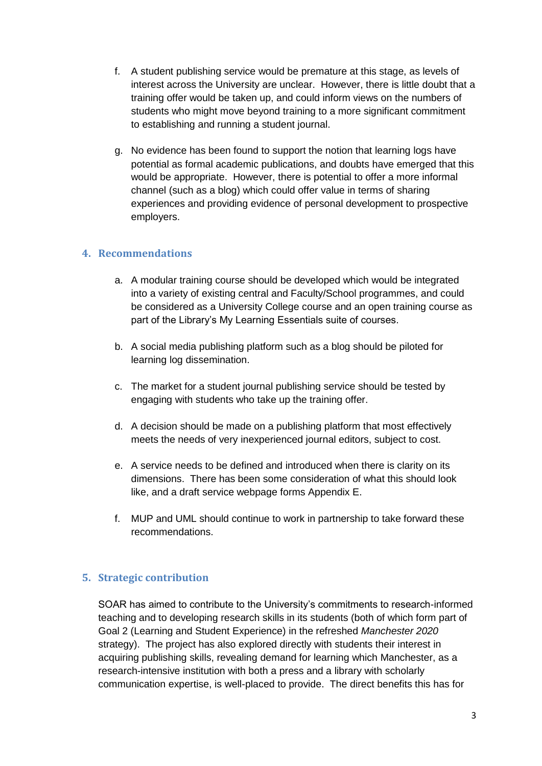- f. A student publishing service would be premature at this stage, as levels of interest across the University are unclear. However, there is little doubt that a training offer would be taken up, and could inform views on the numbers of students who might move beyond training to a more significant commitment to establishing and running a student journal.
- g. No evidence has been found to support the notion that learning logs have potential as formal academic publications, and doubts have emerged that this would be appropriate. However, there is potential to offer a more informal channel (such as a blog) which could offer value in terms of sharing experiences and providing evidence of personal development to prospective employers.

## **4. Recommendations**

- a. A modular training course should be developed which would be integrated into a variety of existing central and Faculty/School programmes, and could be considered as a University College course and an open training course as part of the Library's My Learning Essentials suite of courses.
- b. A social media publishing platform such as a blog should be piloted for learning log dissemination.
- c. The market for a student journal publishing service should be tested by engaging with students who take up the training offer.
- d. A decision should be made on a publishing platform that most effectively meets the needs of very inexperienced journal editors, subject to cost.
- e. A service needs to be defined and introduced when there is clarity on its dimensions. There has been some consideration of what this should look like, and a draft service webpage forms Appendix E.
- f. MUP and UML should continue to work in partnership to take forward these recommendations.

## **5. Strategic contribution**

SOAR has aimed to contribute to the University's commitments to research-informed teaching and to developing research skills in its students (both of which form part of Goal 2 (Learning and Student Experience) in the refreshed *Manchester 2020* strategy). The project has also explored directly with students their interest in acquiring publishing skills, revealing demand for learning which Manchester, as a research-intensive institution with both a press and a library with scholarly communication expertise, is well-placed to provide. The direct benefits this has for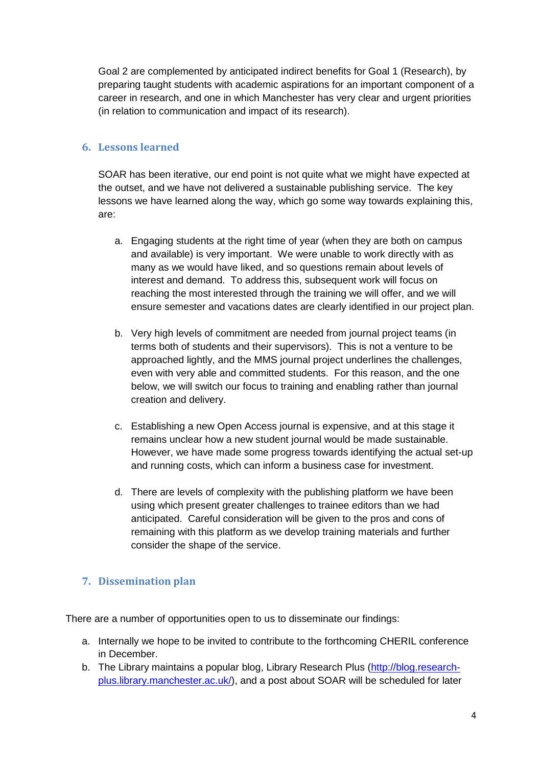Goal 2 are complemented by anticipated indirect benefits for Goal 1 (Research), by preparing taught students with academic aspirations for an important component of a career in research, and one in which Manchester has very clear and urgent priorities (in relation to communication and impact of its research).

#### **6. Lessons learned**

SOAR has been iterative, our end point is not quite what we might have expected at the outset, and we have not delivered a sustainable publishing service. The key lessons we have learned along the way, which go some way towards explaining this, are:

- a. Engaging students at the right time of year (when they are both on campus and available) is very important. We were unable to work directly with as many as we would have liked, and so questions remain about levels of interest and demand. To address this, subsequent work will focus on reaching the most interested through the training we will offer, and we will ensure semester and vacations dates are clearly identified in our project plan.
- b. Very high levels of commitment are needed from journal project teams (in terms both of students and their supervisors). This is not a venture to be approached lightly, and the MMS journal project underlines the challenges, even with very able and committed students. For this reason, and the one below, we will switch our focus to training and enabling rather than journal creation and delivery.
- c. Establishing a new Open Access journal is expensive, and at this stage it remains unclear how a new student journal would be made sustainable. However, we have made some progress towards identifying the actual set-up and running costs, which can inform a business case for investment.
- d. There are levels of complexity with the publishing platform we have been using which present greater challenges to trainee editors than we had anticipated. Careful consideration will be given to the pros and cons of remaining with this platform as we develop training materials and further consider the shape of the service.

## **7. Dissemination plan**

There are a number of opportunities open to us to disseminate our findings:

- a. Internally we hope to be invited to contribute to the forthcoming CHERIL conference in December.
- b. The Library maintains a popular blog, Library Research Plus [\(http://blog.research](http://blog.research-plus.library.manchester.ac.uk/)[plus.library.manchester.ac.uk/\)](http://blog.research-plus.library.manchester.ac.uk/), and a post about SOAR will be scheduled for later